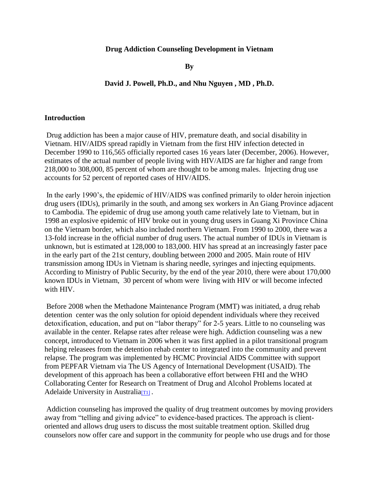### **Drug Addiction Counseling Development in Vietnam**

**By** 

## **David J. Powell, Ph.D., and Nhu Nguyen , MD , Ph.D.**

#### **Introduction**

Drug addiction has been a major cause of HIV, premature death, and social disability in Vietnam. HIV/AIDS spread rapidly in Vietnam from the first HIV infection detected in December 1990 to 116,565 officially reported cases 16 years later (December, 2006). However, estimates of the actual number of people living with HIV/AIDS are far higher and range from 218,000 to 308,000, 85 percent of whom are thought to be among males. Injecting drug use accounts for 52 percent of reported cases of HIV/AIDS.

In the early 1990's, the epidemic of HIV/AIDS was confined primarily to older heroin injection drug users (IDUs), primarily in the south, and among sex workers in An Giang Province adjacent to Cambodia. The epidemic of drug use among youth came relatively late to Vietnam, but in 1998 an explosive epidemic of HIV broke out in young drug users in Guang Xi Province China on the Vietnam border, which also included northern Vietnam. From 1990 to 2000, there was a 13-fold increase in the official number of drug users. The actual number of IDUs in Vietnam is unknown, but is estimated at 128,000 to 183,000. HIV has spread at an increasingly faster pace in the early part of the 21st century, doubling between 2000 and 2005. Main route of HIV transmission among IDUs in Vietnam is sharing needle, syringes and injecting equipments. According to Ministry of Public Security, by the end of the year 2010, there were about 170,000 known IDUs in Vietnam, 30 percent of whom were living with HIV or will become infected with HIV.

Before 2008 when the Methadone Maintenance Program (MMT) was initiated, a drug rehab detention center was the only solution for opioid dependent individuals where they received detoxification, education, and put on "labor therapy" for 2-5 years. Little to no counseling was available in the center. Relapse rates after release were high. Addiction counseling was a new concept, introduced to Vietnam in 2006 when it was first applied in a pilot transitional program helping releasees from the detention rehab center to integrated into the community and prevent relapse. The program was implemented by HCMC Provincial AIDS Committee with support from PEPFAR Vietnam via The US Agency of International Development (USAID). The development of this approach has been a collaborative effort between FHI and the WHO Collaborating Center for Research on Treatment of Drug and Alcohol Problems located at Adelaide University in Australia[\[T1\]](http://us.mc335.mail.yahoo.com/mc/welcome?.gx=1&.tm=1295841002&.rand=aubv04r02s889#_msocom_1).

Addiction counseling has improved the quality of drug treatment outcomes by moving providers away from "telling and giving advice" to evidence-based practices. The approach is clientoriented and allows drug users to discuss the most suitable treatment option. Skilled drug counselors now offer care and support in the community for people who use drugs and for those